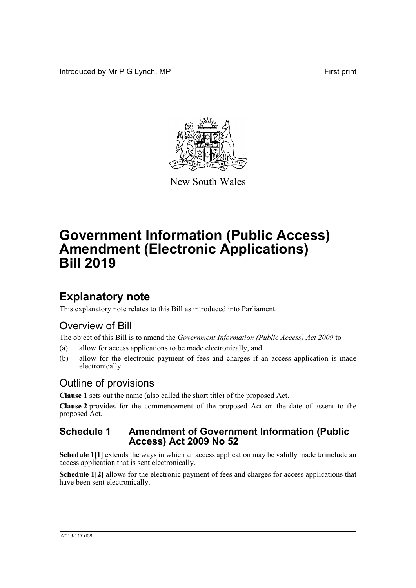Introduced by Mr P G Lynch, MP First print



New South Wales

# **Government Information (Public Access) Amendment (Electronic Applications) Bill 2019**

### **Explanatory note**

This explanatory note relates to this Bill as introduced into Parliament.

### Overview of Bill

The object of this Bill is to amend the *Government Information (Public Access) Act 2009* to—

- (a) allow for access applications to be made electronically, and
- (b) allow for the electronic payment of fees and charges if an access application is made electronically.

### Outline of provisions

**Clause 1** sets out the name (also called the short title) of the proposed Act.

**Clause 2** provides for the commencement of the proposed Act on the date of assent to the proposed Act.

#### **Schedule 1 Amendment of Government Information (Public Access) Act 2009 No 52**

**Schedule 1**[1] extends the ways in which an access application may be validly made to include an access application that is sent electronically.

**Schedule 1[2]** allows for the electronic payment of fees and charges for access applications that have been sent electronically.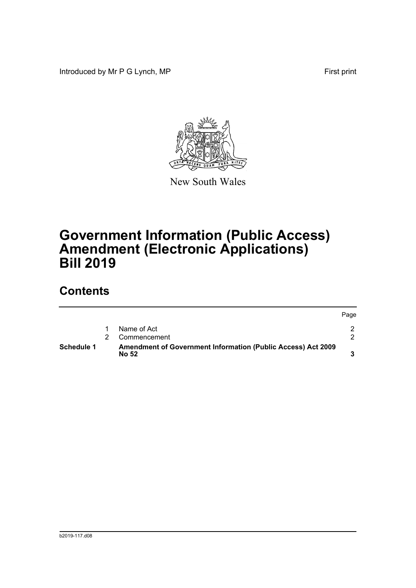Introduced by Mr P G Lynch, MP First print



New South Wales

# **Government Information (Public Access) Amendment (Electronic Applications) Bill 2019**

## **Contents**

| Schedule 1 | <b>Amendment of Government Information (Public Access) Act 2009</b><br><b>No 52</b> |      |
|------------|-------------------------------------------------------------------------------------|------|
|            | Commencement                                                                        |      |
|            | Name of Act                                                                         |      |
|            |                                                                                     | Page |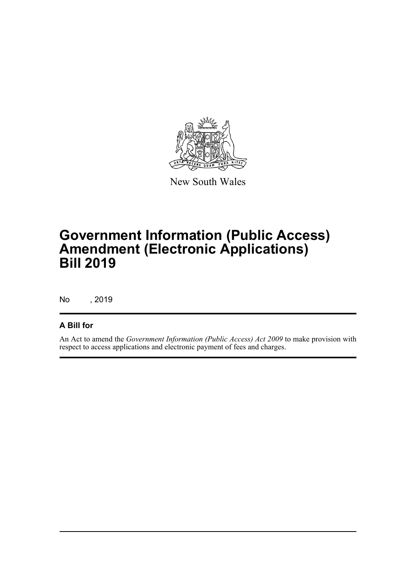

New South Wales

## **Government Information (Public Access) Amendment (Electronic Applications) Bill 2019**

No , 2019

#### **A Bill for**

An Act to amend the *Government Information (Public Access) Act 2009* to make provision with respect to access applications and electronic payment of fees and charges.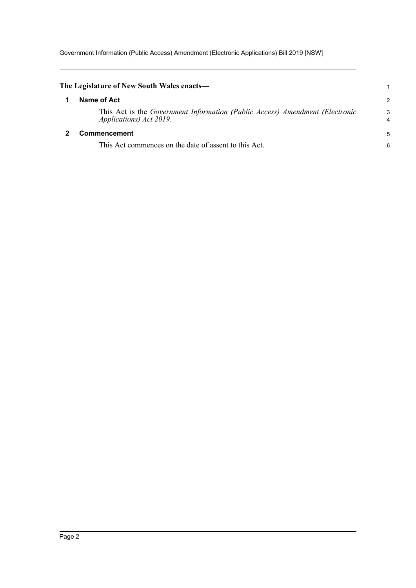Government Information (Public Access) Amendment (Electronic Applications) Bill 2019 [NSW]

<span id="page-3-1"></span><span id="page-3-0"></span>

| The Legislature of New South Wales enacts—                                                                              |        |
|-------------------------------------------------------------------------------------------------------------------------|--------|
| Name of Act                                                                                                             | 2      |
| This Act is the Government Information (Public Access) Amendment (Electronic<br><i>Applications</i> ) <i>Act 2019</i> . | 3<br>4 |
| <b>Commencement</b>                                                                                                     |        |
| This Act commences on the date of assent to this Act.                                                                   | 6      |
|                                                                                                                         |        |